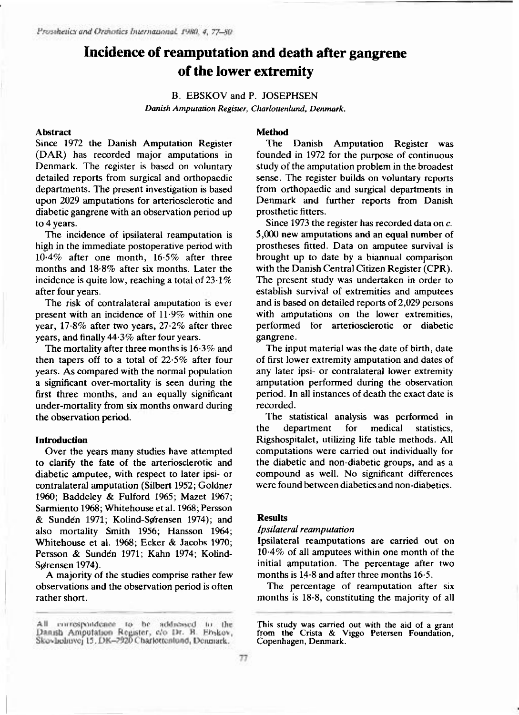# **Incidence of reamputation and death after gangrene of the lower extremity**

B. EBSKOV and P. JOSEPHSEN *Danish Amputation Register, Charlottenlund, Denmark.* 

# **Abstrac t**

Since 1972 the Danish Amputation Register (DAR) has recorded major amputations in Denmark. The register is based on voluntary detailed reports from surgical and orthopaedic departments. The present investigation is based upon 2029 amputations for arteriosclerotic and diabetic gangrene with an observation period up to 4 years.

The incidence of ipsilateral reamputation is high in the immediate postoperative period with  $10.4\%$  after one month,  $16.5\%$  after three months and  $18.8\%$  after six months. Later the incidence is quite low, reaching a total of  $23.1\%$ after four years.

The risk of contralateral amputation is ever present with an incidence of  $11.9\%$  within one year,  $17.8\%$  after two years,  $27.2\%$  after three years, and finally  $44.3\%$  after four years.

The mortality after three months is  $16.3\%$  and then tapers off to a total of  $22.5\%$  after four years. As compared with the normal population a significant over-mortality is seen during the first three months, and an equally significant under-mortality from six months onward during the observation period.

#### **Introduction**

Over the years many studies have attempted to clarify the fate of the arteriosclerotic and diabetic amputee, with respect to later ipsi- or contralateral amputation (Silbert 1952; Goldner 1960; Baddeley & Fulford 1965; Mazet 1967; Sarmiento 1968; Whitehouse et al. 1968; Persson & Sundén 1971; Kolind-Sørensen 1974); and also mortality Smith 1956; Hansson 1964; Whitehouse et al. 1968; Ecker & Jacobs 1970; Persson & Sunden 1971; Kahn 1974; Kolind-Sørensen 1974).

A majority of the studies comprise rather few observations and the observation period is often rather short.

### **Metho d**

The Danish Amputation Register was founded in 1972 for the purpose of continuous study of the amputation problem in the broadest sense. The register builds on voluntary reports from orthopaedic and surgical departments in Denmark and further reports from Danish prosthetic fitters.

Since 1973 the register has recorded data on  $c$ . 5,000 new amputations and an equal number of prostheses fitted. Data on amputee survival is brought up to date by a biannual comparison with the Danish Central Citizen Register (CPR). The present study was undertaken in order to establish survival of extremities and amputees and is based on detailed reports of 2,029 persons with amputations on the lower extremities, performed for arteriosclerotic or diabetic gangrene .

The input material was the date of birth, date of first lower extremity amputation and dates of any later ipsi- or contralateral lower extremity amputation performed during the observation period. In all instances of death the exact date is recorded.

The statistical analysis was performed in the department for medical statistics, Rigshospitalet, utilizing life table methods. All computations were carried out individually for the diabetic and non-diabetic groups, and as a compound as well. No significant differences were found between diabetics and non-diabetics.

# **Results**

### *Ipsilateral reamputation*

Ipsilateral reamputations are carried out on  $10.4\%$  of all amputees within one month of the initial amputation. The percentage after two months is  $14.8$  and after three months  $16.5$ .

The percentage of reamputation after six months is  $18.8$ , constituting the majority of all

All correspondence to be addressed to the<br>Danish Amputation Register, c/o Dr. B. Ebskov, Skovholmvej 15. DK-2920 Charlottentund, Denmark.

**This study was carried out with the aid of a grant from the Crista & Viggo Petersen Foundation, Copenhagen, Denmark.**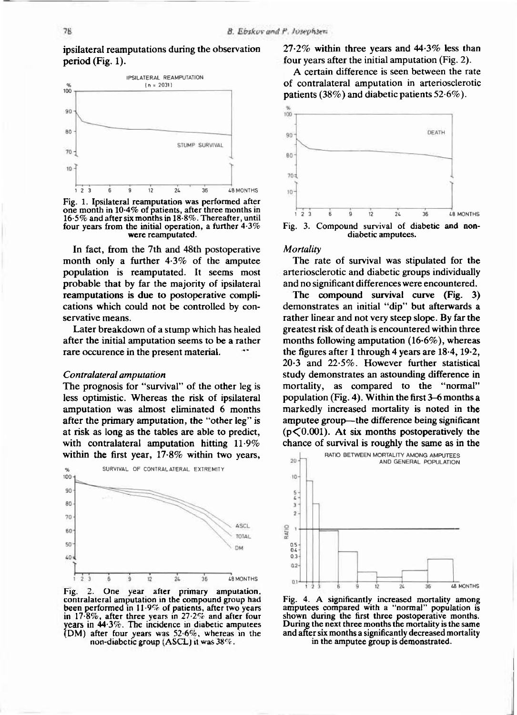ipsilateral reamputations during the observation period (Fig. 1).



**Fig. 1. Ipsilateral reamputation was performed after**  one month in 10.4% of patients, after three months in **16.5% and after six months in 18.8%. Thereafter, until four years from the initial operation, a further 4.3% were reamputated.** 

In fact, from the 7th and 48th postoperative month only a further  $4.3\%$  of the amputee population is reamputated. It seems most probable that by far the majority of ipsilateral reamputations is due to postoperative complications which could not be controlled by conservative means.

Later breakdown of a stump which has healed after the initial amputation seems to be a rather rare occurence in the present material.

#### *Contralateral amputation*

The prognosis for "survival" of the other leg is less optimistic. Whereas the risk of ipsilateral amputation was almost eliminated 6 months after the primary amputation, the "other leg" is at risk as long as the tables are able to predict, with contralateral amputation hitting  $11.9\%$ within the first year,  $17.8\%$  within two years,



**Fig. 2. One year after primary amputation, contralateral amputation in the compound group had been performed in 11.9% of patients, after two years in 17.8%, after three years in 27.2% and after four years in 44.3%. The incidence in diabetic amputees (DM ) after four years was 52.6%, whereas in the non-diabctic group ( ASCL) it was 38%.** 

 $27.2\%$  within three years and  $44.3\%$  less than four vears after the initial amputation (Fig. 2).

A certain difference is seen between the rate of contralateral amputation in arteriosclerotic patients (38%) and diabetic patients  $52.6\%$ ).



**diabetic amputees.** 

#### *Mortality*

The rate of survival was stipulated for the arteriosclerotic and diabetic groups individually and no significant differences were encountered.

The compound survival curve  $(Fig. 3)$ demonstrates an initial "dip" but afterwards a rather linear and not very steep slope. By far the greatest risk of death is encountered within three months following amputation  $(16.6\%)$ , whereas the figures after 1 through 4 years are  $18.4$ ,  $19.2$ ,  $20.3$  and  $22.5\%$ . However further statistical study demonstrates an astounding difference in mortality, as compared to the "normal" population (Fig. 4). Within the first  $3-6$  months a markedly increased mortality is noted in the amputee group—the difference being significant  $(p<0.001)$ . At six months postoperatively the chance of survival is roughly the same as in the



**Fig. 4. A significantly increased mortality among amputees compared with a "normal" population is shown during the first three postoperative months. During the next three months the mortality is the same and after six months a significantly decreased mortality in the amputee group is demonstrated.**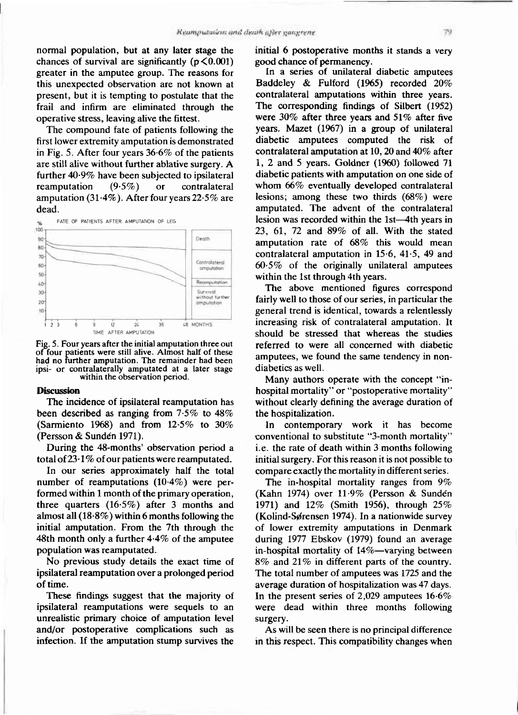normal population, but at any later stage the chances of survival are significantly  $(p<0.001)$ greater in the amputee group. The reasons for this unexpected observation are not known at present, but it is tempting to postulate that the frail and infirm are eliminated through the operative stress, leaving alive the fittest.

The compound fate of patients following the first lower extremity amputation is demonstrated in Fig. 5. After four years  $36.6\%$  of the patients are still alive without further ablative surgery. A further 40.9% have been subjected to ipsilateral reamputation  $(9.5\%)$  or contralateral amputation  $(31.4\%)$ . After four years 22.5% are dead.



**Fig. 5 . Four years after the initial amputation three out of four patients were still alive. Almost half of these had no further amputation. The remainder had been ipsi- or contralaterally amputated at a later stage within the observation period.** 

#### **Discussion**

The incidence of ipsilateral reamputation has been described as ranging from  $7.5\%$  to  $48\%$ (Sarmiento 1968) and from  $12.5\%$  to  $30\%$ (Persson & Sundén 1971).

During the 48-months' observation period a total of  $23.1\%$  of our patients were reamputated.

In our series approximately half the total number of reamputations  $(10.4\%)$  were performed within 1 month of the primary operation, three quarters  $(16.5%)$  after 3 months and almost all  $(18.8\%)$  within 6 months following the initial amputation. From the 7th through the 48th month only a further  $4.4\%$  of the amputee population was reamputated.

No previous study details the exact time of ipsilateral reamputation over a prolonged period of time.

These findings suggest that the majority of ipsilateral reamputations were sequels to an unrealistic primary choice of amputation level and/or postoperative complications such as infection. If the amputation stump survives the initial 6 postoperative months it stands a very good chance of permanency.

In a series of unilateral diabetic amputees Baddeley & Fulford  $(1965)$  recorded  $20\%$ contralateral amputations within three years. The corresponding findings of Silbert (1952) were  $30\%$  after three years and  $51\%$  after five years. Mazet  $(1967)$  in a group of unilateral diabetic amputees computed the risk of contralateral amputation at 10, 20 and  $40\%$  after 1, 2 and 5 years. Goldner  $(1960)$  followed 71 diabetic patients with amputation on one side of whom  $66\%$  eventually developed contralateral lesions; among these two thirds  $(68\%)$  were amputated. The advent of the contralateral lesion was recorded within the 1st—4th years in 23, 61, 72 and  $89\%$  of all. With the stated amputation rate of  $68\%$  this would mean contralateral amputation in  $15.6$ ,  $41.5$ ,  $49$  and  $60.5\%$  of the originally unilateral amputees within the 1st through 4th years.

The above mentioned figures correspond fairly well to those of our series, in particular the general trend is identical, towards a relentlessly increasing risk of contralateral amputation. It should be stressed that whereas the studies referred to were all concerned with diabetic amputees, we found the same tendency in nondiabetics as well.

Many authors operate with the concept "inhospital mortality" or "postoperative mortality" without clearly defining the average duration of the hospitalization.

In contemporary work it has become conventional to substitute "3-month mortality" i.e. the rate of death within  $3$  months following initial surgery. For this reason it is not possible to compare exactly the mortality in different series.

The in-hospital mortality ranges from  $9\%$ (Kahn 1974) over  $11.9\%$  (Persson & Sundén 1971) and  $12\%$  (Smith 1956), through 25% (Kolind-Sørensen 1974). In a nationwide survey of lower extremity amputations in Denmark during 1977 Ebskov (1979) found an average in-hospital mortality of 14%—varying between  $8\%$  and  $21\%$  in different parts of the country. The total number of amputees was 1725 and the average duration of hospitalization was 47 days. In the present series of  $2,029$  amputees  $16.6\%$ were dead within three months following surgery.

As will be seen there is no principal difference in this respect. This compatibility changes when